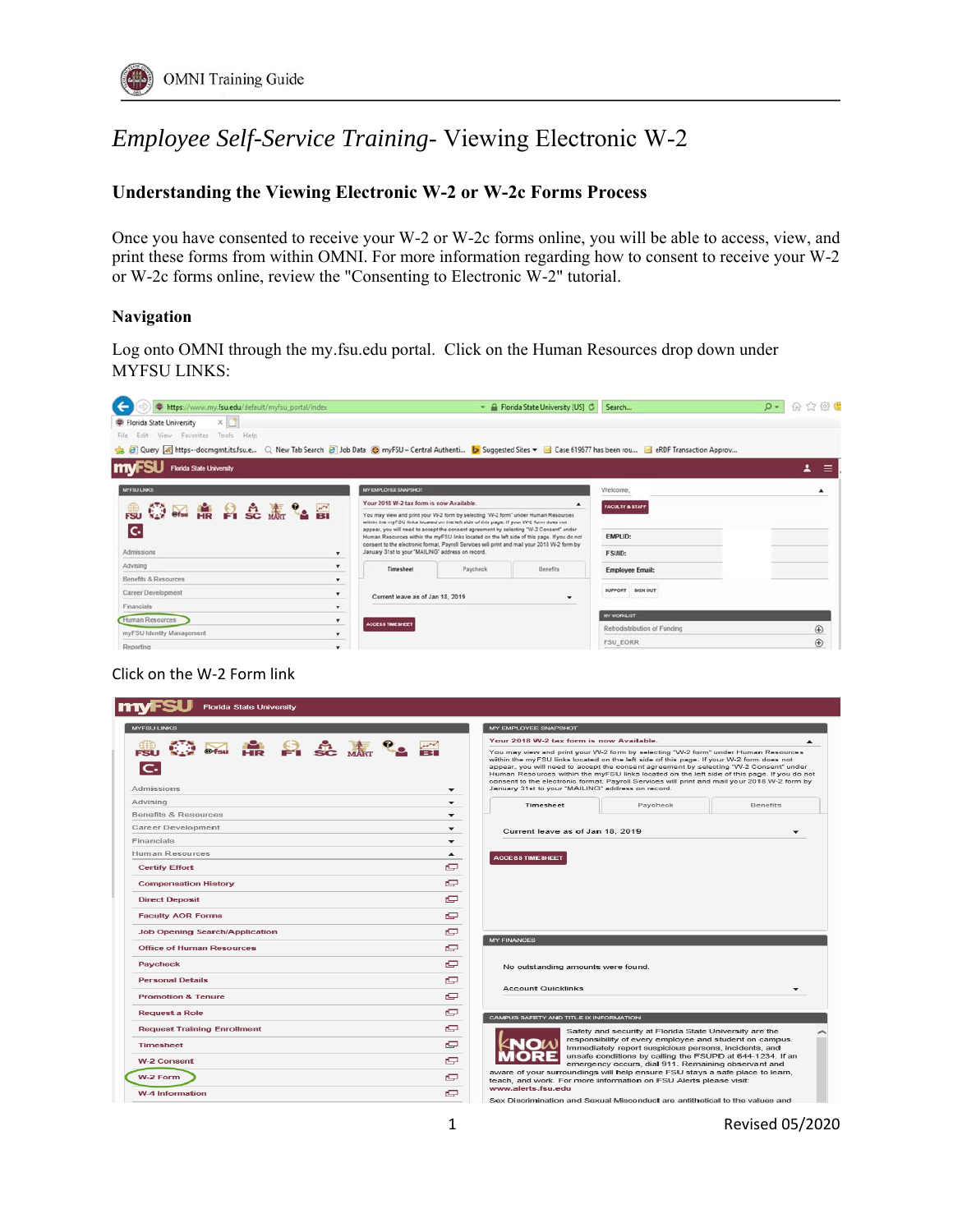## *Employee Self-Service Training*- Viewing Electronic W-2

## **Understanding the Viewing Electronic W-2 or W-2c Forms Process**

Once you have consented to receive your W-2 or W-2c forms online, you will be able to access, view, and print these forms from within OMNI. For more information regarding how to consent to receive your W-2 or W-2c forms online, review the "Consenting to Electronic W-2" tutorial.

## **Navigation**

Log onto OMNI through the my.fsu.edu portal. Click on the Human Resources drop down under MYFSU LINKS:



## Click on the W‐2 Form link

| <b>Florida State University</b>       |                          |                                                                                                                                                                                                                                                                                                                                                                                                                                                                                                                             |
|---------------------------------------|--------------------------|-----------------------------------------------------------------------------------------------------------------------------------------------------------------------------------------------------------------------------------------------------------------------------------------------------------------------------------------------------------------------------------------------------------------------------------------------------------------------------------------------------------------------------|
| <b>MYFSU LINKS</b>                    |                          | MY EMPLOYEE SNAPSHOT                                                                                                                                                                                                                                                                                                                                                                                                                                                                                                        |
|                                       |                          | Your 2018 W-2 tax form is now Available.                                                                                                                                                                                                                                                                                                                                                                                                                                                                                    |
| <b>第五条台交表名置</b><br>Admissions         | ▼                        | You may view and print your W-2 form by selecting "W-2 form" under Human Resources<br>within the myFSU links located on the left side of this page. If your W-2 form does not<br>appear, you will need to accept the consent agreement by selecting "W-2 Consent" under<br>Human Resources within the myFSU links located on the left side of this page. If you do not<br>consent to the electronic format, Payroll Services will print and mail your 2018 W-2 form by<br>January 31st to your "MAILING" address on record. |
| Advising                              | $\overline{\phantom{a}}$ | Timesheet<br>Paycheck<br>Benefits                                                                                                                                                                                                                                                                                                                                                                                                                                                                                           |
| Benefits & Resources                  | $\overline{\phantom{a}}$ |                                                                                                                                                                                                                                                                                                                                                                                                                                                                                                                             |
| Career Development                    | $\overline{\phantom{a}}$ | Current leave as of Jan 18, 2019<br>÷                                                                                                                                                                                                                                                                                                                                                                                                                                                                                       |
| <b>Financials</b>                     | ▼                        |                                                                                                                                                                                                                                                                                                                                                                                                                                                                                                                             |
| Human Resources                       | ▲                        | <b>ACCESS TIME SHEET</b>                                                                                                                                                                                                                                                                                                                                                                                                                                                                                                    |
| <b>Certify Effort</b>                 | c                        |                                                                                                                                                                                                                                                                                                                                                                                                                                                                                                                             |
| <b>Compensation History</b>           | c                        |                                                                                                                                                                                                                                                                                                                                                                                                                                                                                                                             |
| <b>Direct Deposit</b>                 | c                        |                                                                                                                                                                                                                                                                                                                                                                                                                                                                                                                             |
| <b>Faculty AOR Forms</b>              | c                        |                                                                                                                                                                                                                                                                                                                                                                                                                                                                                                                             |
| <b>Job Opening Search/Application</b> | c                        | <b>MY FINANCES</b>                                                                                                                                                                                                                                                                                                                                                                                                                                                                                                          |
| <b>Office of Human Resources</b>      | c                        |                                                                                                                                                                                                                                                                                                                                                                                                                                                                                                                             |
| Paycheck                              | e                        | No outstanding amounts were found.                                                                                                                                                                                                                                                                                                                                                                                                                                                                                          |
| <b>Personal Details</b>               | c                        | <b>Account Quicklinks</b>                                                                                                                                                                                                                                                                                                                                                                                                                                                                                                   |
| <b>Promotion &amp; Tenure</b>         | c                        | $\mathbf{r}$                                                                                                                                                                                                                                                                                                                                                                                                                                                                                                                |
| <b>Request a Role</b>                 | c                        | CAMPUS SAFETY AND TITLE IX INFORMATION                                                                                                                                                                                                                                                                                                                                                                                                                                                                                      |
| <b>Request Training Enrollment</b>    | c                        | Safety and security at Florida State University are the                                                                                                                                                                                                                                                                                                                                                                                                                                                                     |
| <b>Timesheet</b>                      | c                        | responsibility of every employee and student on campus.<br>Immediately report suspicious persons, incidents, and                                                                                                                                                                                                                                                                                                                                                                                                            |
| <b>W-2 Consent</b>                    | e                        | unsafe conditions by calling the FSUPD at 644-1234. If an<br>emergency occurs, dial 911. Remaining observant and                                                                                                                                                                                                                                                                                                                                                                                                            |
| W-2 Form                              | c                        | aware of your surroundings will help ensure FSU stays a safe place to learn,<br>teach, and work. For more information on FSU Alerts please visit:                                                                                                                                                                                                                                                                                                                                                                           |
| W-4 Information                       | c                        | www.alerts.fsu.edu<br>Sex Discrimination and Sexual Misconduct are antithetical to the values and                                                                                                                                                                                                                                                                                                                                                                                                                           |

1 Revised 05/2020